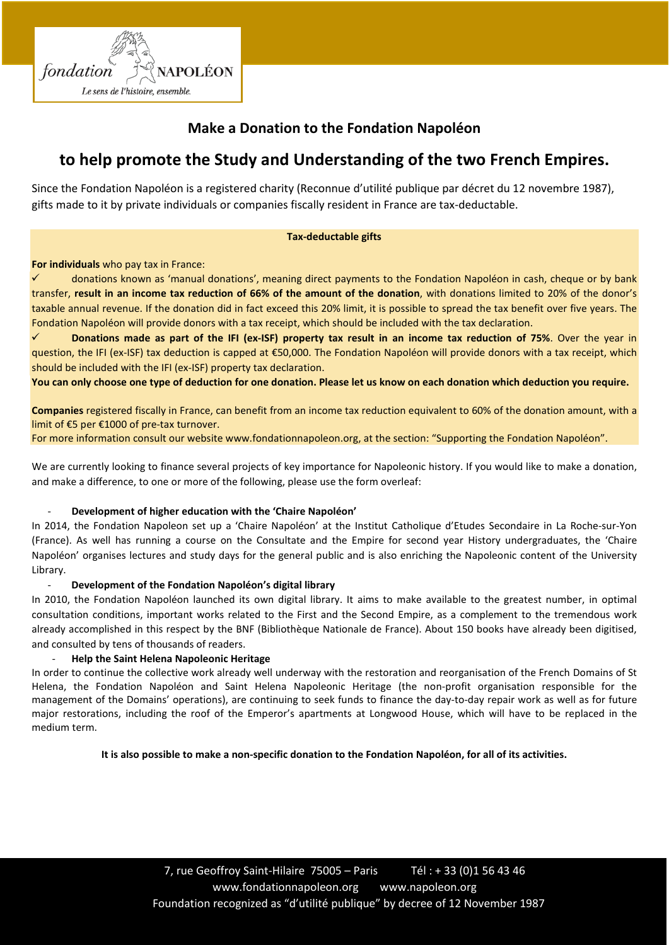

## **Make a Donation to the Fondation Napoléon**

# **to help promote the Study and Understanding of the two French Empires.**

Since the Fondation Napoléon is a registered charity (Reconnue d'utilité publique par décret du 12 novembre 1987), gifts made to it by private individuals or companies fiscally resident in France are tax-deductable.

### **Tax-deductable gifts**

**For individuals** who pay tax in France:

 donations known as 'manual donations', meaning direct payments to the Fondation Napoléon in cash, cheque or by bank transfer, **result in an income tax reduction of 66% of the amount of the donation**, with donations limited to 20% of the donor's taxable annual revenue. If the donation did in fact exceed this 20% limit, it is possible to spread the tax benefit over five years. The Fondation Napoléon will provide donors with a tax receipt, which should be included with the tax declaration.

 **Donations made as part of the IFI (ex-ISF) property tax result in an income tax reduction of 75%**. Over the year in question, the IFI (ex-ISF) tax deduction is capped at €50,000. The Fondation Napoléon will provide donors with a tax receipt, which should be included with the IFI (ex-ISF) property tax declaration.

**You can only choose one type of deduction for one donation. Please let us know on each donation which deduction you require.**

**Companies** registered fiscally in France, can benefit from an income tax reduction equivalent to 60% of the donation amount, with a limit of €5 per €1000 of pre-tax turnover.

For more information consult our website [www.fondationnapoleon.org,](http://www.fondationnapoleon.org/) at the section: "Supporting the Fondation Napoléon".

We are currently looking to finance several projects of key importance for Napoleonic history. If you would like to make a donation, and make a difference, to one or more of the following, please use the form overleaf:

### - **Development of higher education with the 'Chaire Napoléon'**

In 2014, the Fondation Napoleon set up a 'Chaire Napoléon' at the Institut Catholique d'Etudes Secondaire in La Roche-sur-Yon (France). As well has running a course on the Consultate and the Empire for second year History undergraduates, the 'Chaire Napoléon' organises lectures and study days for the general public and is also enriching the Napoleonic content of the University Library.

### - **Development of the Fondation Napoléon's digital library**

In 2010, the Fondation Napoléon launched its own digital library. It aims to make available to the greatest number, in optimal consultation conditions, important works related to the First and the Second Empire, as a complement to the tremendous work already accomplished in this respect by the BNF (Bibliothèque Nationale de France). About 150 books have already been digitised, and consulted by tens of thousands of readers.

### - **[Help the Saint Helena Napoleonic Heritage](https://fondationnapoleon.org/en/activities-and-services/preserving-heritage/operation-st-helena/)**

In order to continue the collective work already well underway with the restoration and reorganisation of the French Domains of St Helena, the Fondation Napoléon and Saint Helena Napoleonic Heritage (the non-profit organisation responsible for the management of the Domains' operations), are continuing to seek funds to finance the day-to-day repair work as well as for future major restorations, including the roof of the Emperor's apartments at Longwood House, which will have to be replaced in the medium term.

**It is also possible to make a non-specific donation to the Fondation Napoléon, for all of its activities.**